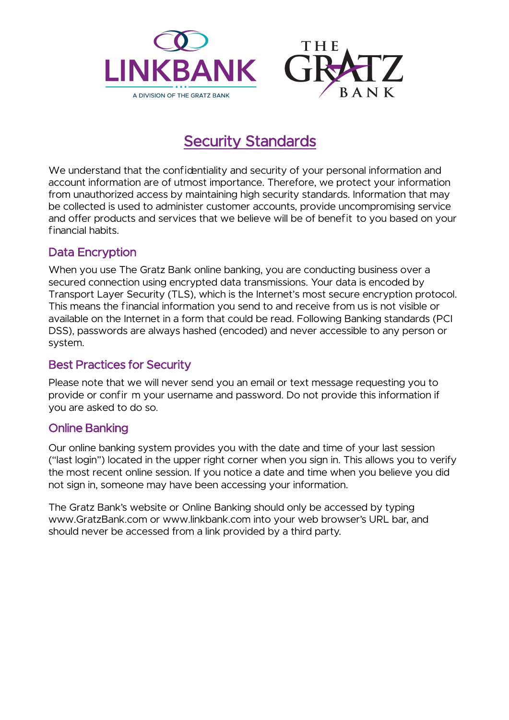

# Security Standards

We understand that the confidentiality and security of your personal information and account information are of utmost importance. Therefore, we protect your information from unauthorized access by maintaining high security standards. Information that may be collected is used to administer customer accounts, provide uncompromising service and offer products and services that we believe will be of benefit to you based on your financial habits.

# Data Encryption

When you use The Gratz Bank online banking, you are conducting business over a secured connection using encrypted data transmissions. Your data is encoded by Transport Layer Security (TLS), which is the Internet's most secure encryption protocol. This means the financial information you send to and receive from us is not visible or available on the Internet in a form that could be read. Following Banking standards (PCI DSS), passwords are always hashed (encoded) and never accessible to any person or system.

# Best Practices for Security

Please note that we will never send you an email or text message requesting you to provide or confir m your username and password. Do not provide this information if you are asked to do so.

# Online Banking

Our online banking system provides you with the date and time of your last session ("last login") located in the upper right corner when you sign in. This allows you to verify the most recent online session. If you notice a date and time when you believe you did not sign in, someone may have been accessing your information.

The Gratz Bank's website or Online Banking should only be accessed by typing [www.GratzBank.com](http://www.GratzBank.com) or [www.linkbank.com](http://www.linkbank.com) into your web browser's URL bar, and should never be accessed from a link provided by a third party.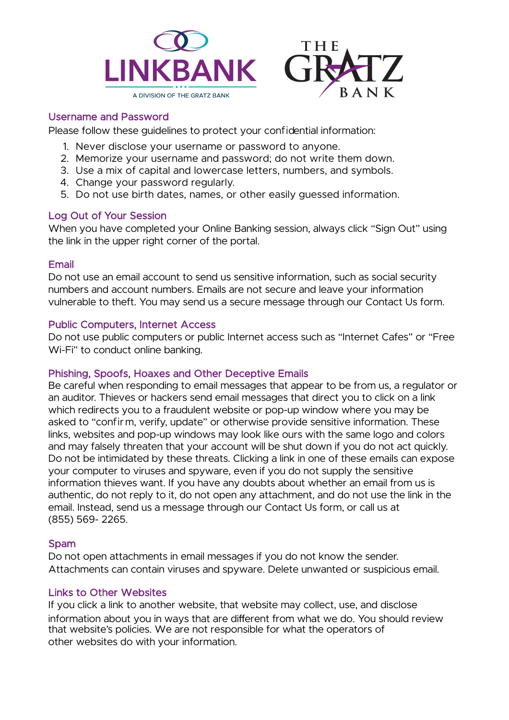

### Username and Password

Please follow these guidelines to protect your confidential information:

- 1. Never disclose your username or password to anyone.
- 2. Memorize your username and password; do not write them down.
- 3. Use a mix of capital and lowercase letters, numbers, and symbols.
- 4. Change your password regularly.
- 5. Do not use birth dates, names, or other easily guessed information.

#### Log Out of Your Session

When you have completed your Online Banking session, always click "Sign Out" using the link in the upper right corner of the portal.

#### Email

Do not use an email account to send us sensitive information, such as social security numbers and account numbers. Emails are not secure and leave your information vulnerable to theft. You may send us a secure message through our Contact Us form.

#### Public Computers, Internet Access

Do not use public computers or public Internet access such as "Internet Cafes" or "Free Wi-Fi" to conduct online banking.

#### Phishing, Spoofs, Hoaxes and Other Deceptive Emails

Be careful when responding to email messages that appear to be from us, a regulator or an auditor. Thieves or hackers send email messages that direct you to click on a link which redirects you to a fraudulent website or pop-up window where you may be asked to "confir m, verify, update" or otherwise provide sensitive information. These links, websites and pop-up windows may look like ours with the same logo and colors and may falsely threaten that your account will be shut down if you do not act quickly. Do not be intimidated by these threats. Clicking a link in one of these emails can expose your computer to viruses and spyware, even if you do not supply the sensitive information thieves want. If you have any doubts about whether an email from us is authentic, do not reply to it, do not open any attachment, and do not use the link in the email. Instead, send us a message through our Contact Us form, or call us at (855) 569- 2265.

#### Spam

Do not open attachments in email messages if you do not know the sender. Attachments can contain viruses and spyware. Delete unwanted or suspicious email.

#### Links to Other Websites

If you click a link to another website, that website may collect, use, and disclose information about you in ways that are different from what we do. You should review that website's policies. We are not responsible for what the operators of other websites do with your information.